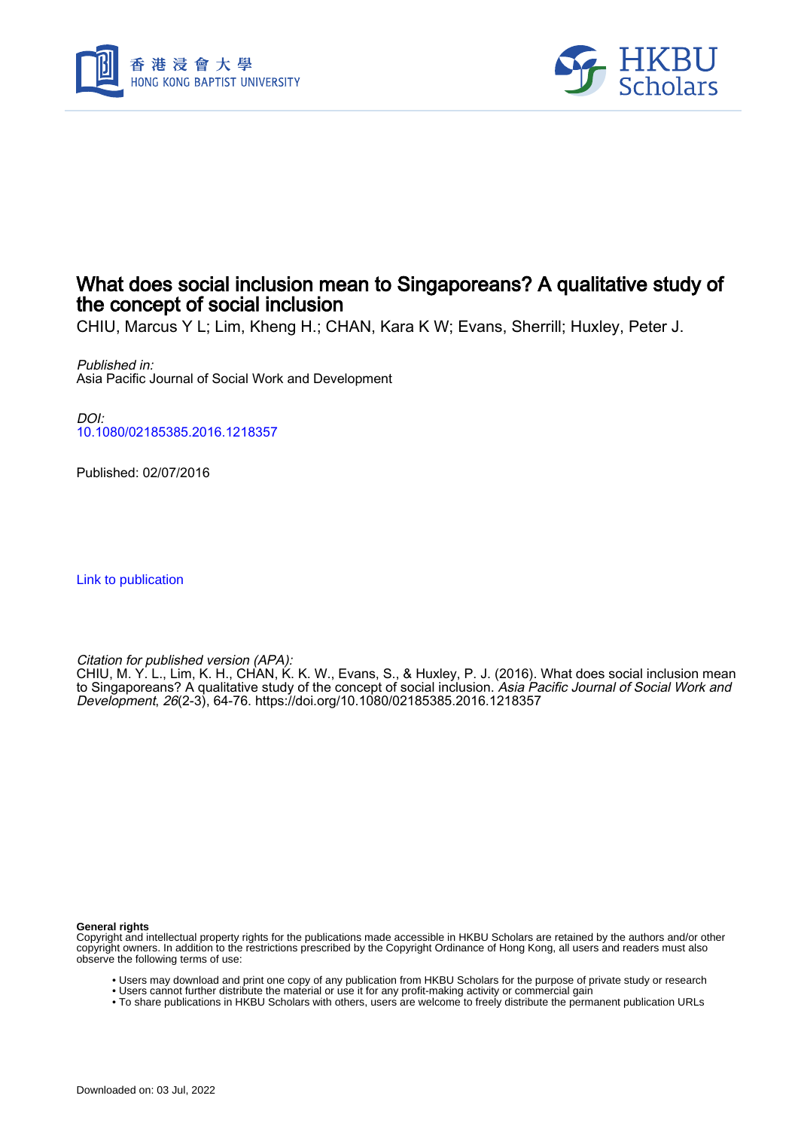



# What does social inclusion mean to Singaporeans? A qualitative study of the concept of social inclusion

CHIU, Marcus Y L; Lim, Kheng H.; CHAN, Kara K W; Evans, Sherrill; Huxley, Peter J.

Published in: Asia Pacific Journal of Social Work and Development

DOI: [10.1080/02185385.2016.1218357](https://doi.org/10.1080/02185385.2016.1218357)

Published: 02/07/2016

[Link to publication](https://scholars.hkbu.edu.hk/en/publications/157de7a7-d42a-4f7d-bef6-6164e19010ed)

Citation for published version (APA):

CHIU, M. Y. L., Lim, K. H., CHAN, K. K. W., Evans, S., & Huxley, P. J. (2016). What does social inclusion mean to Singaporeans? A qualitative study of the concept of social inclusion. *Asia Pacific Journal of Social Work and* Development, 26(2-3), 64-76.<https://doi.org/10.1080/02185385.2016.1218357>

**General rights**

Copyright and intellectual property rights for the publications made accessible in HKBU Scholars are retained by the authors and/or other copyright owners. In addition to the restrictions prescribed by the Copyright Ordinance of Hong Kong, all users and readers must also observe the following terms of use:

- Users may download and print one copy of any publication from HKBU Scholars for the purpose of private study or research
- Users cannot further distribute the material or use it for any profit-making activity or commercial gain
- To share publications in HKBU Scholars with others, users are welcome to freely distribute the permanent publication URLs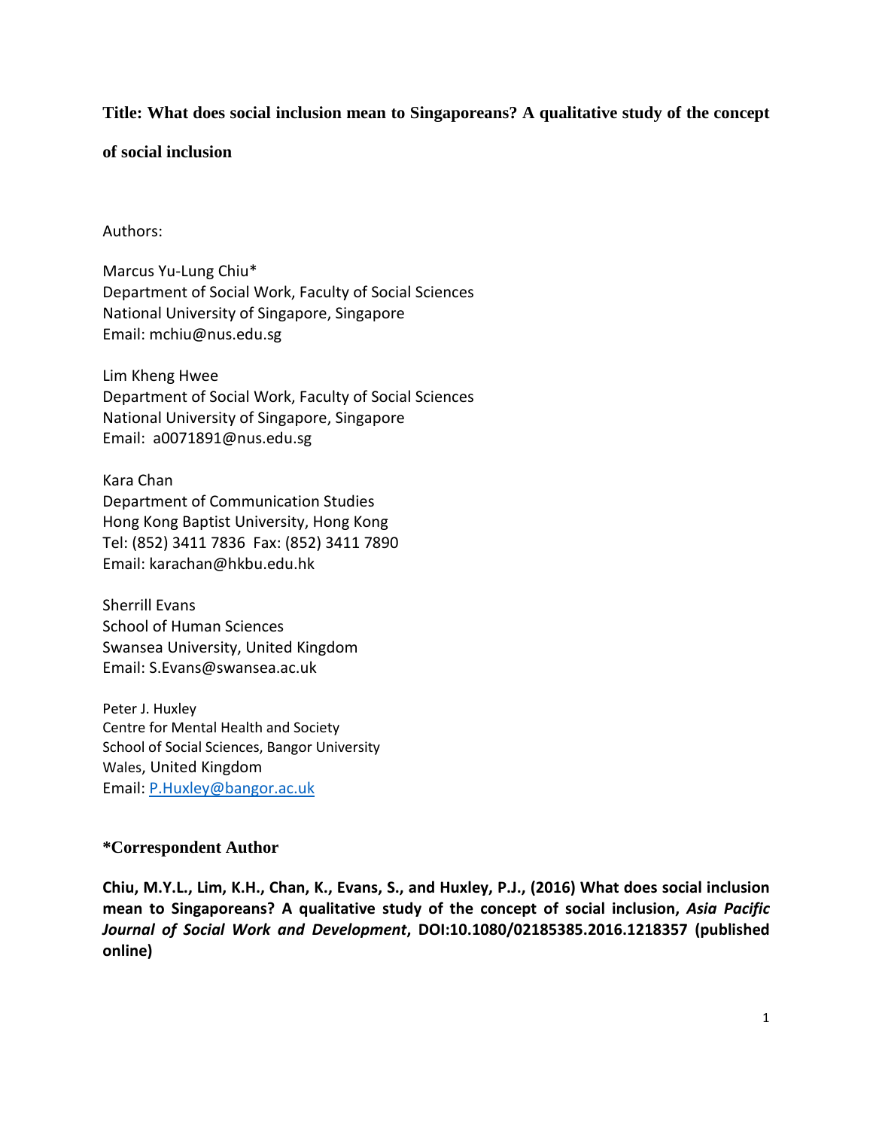# **Title: What does social inclusion mean to Singaporeans? A qualitative study of the concept**

**of social inclusion**

## Authors:

Marcus Yu-Lung Chiu\* Department of Social Work, Faculty of Social Sciences National University of Singapore, Singapore Email: mchiu@nus.edu.sg

Lim Kheng Hwee Department of Social Work, Faculty of Social Sciences National University of Singapore, Singapore Email: a0071891@nus.edu.sg

Kara Chan Department of Communication Studies Hong Kong Baptist University, Hong Kong Tel: (852) 3411 7836 Fax: (852) 3411 7890 Email: karachan@hkbu.edu.hk

Sherrill Evans School of Human Sciences Swansea University, United Kingdom Email: S.Evans@swansea.ac.uk

Peter J. Huxley Centre for Mental Health and Society School of Social Sciences, Bangor University Wales, United Kingdom Email: [P.Huxley@bangor.ac.uk](mailto:P.Huxley@bangor.ac.uk)

## **\*Correspondent Author**

**Chiu, M.Y.L., Lim, K.H., Chan, K., Evans, S., and Huxley, P.J., (2016) What does social inclusion mean to Singaporeans? A qualitative study of the concept of social inclusion,** *Asia Pacific Journal of Social Work and Development***, DOI:10.1080/02185385.2016.1218357 (published online)**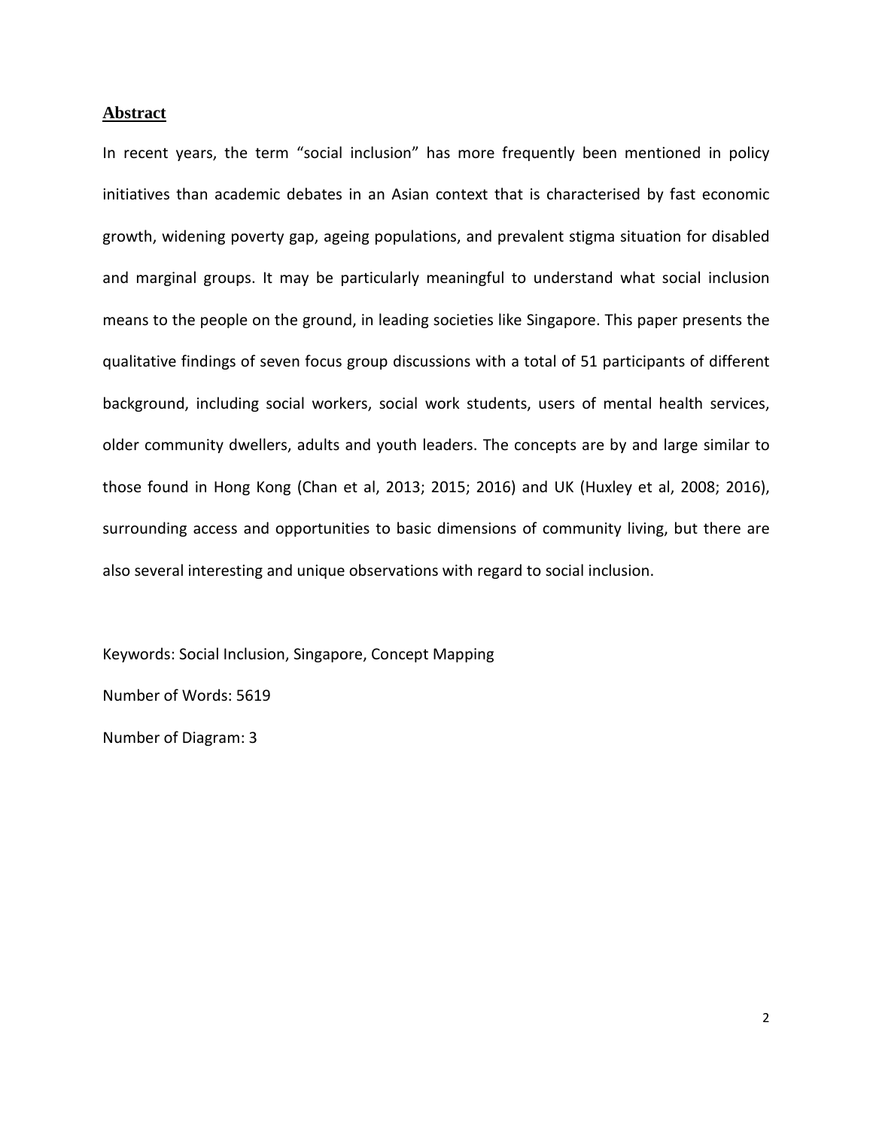#### **Abstract**

In recent years, the term "social inclusion" has more frequently been mentioned in policy initiatives than academic debates in an Asian context that is characterised by fast economic growth, widening poverty gap, ageing populations, and prevalent stigma situation for disabled and marginal groups. It may be particularly meaningful to understand what social inclusion means to the people on the ground, in leading societies like Singapore. This paper presents the qualitative findings of seven focus group discussions with a total of 51 participants of different background, including social workers, social work students, users of mental health services, older community dwellers, adults and youth leaders. The concepts are by and large similar to those found in Hong Kong (Chan et al, 2013; 2015; 2016) and UK (Huxley et al, 2008; 2016), surrounding access and opportunities to basic dimensions of community living, but there are also several interesting and unique observations with regard to social inclusion.

Keywords: Social Inclusion, Singapore, Concept Mapping

Number of Words: 5619

Number of Diagram: 3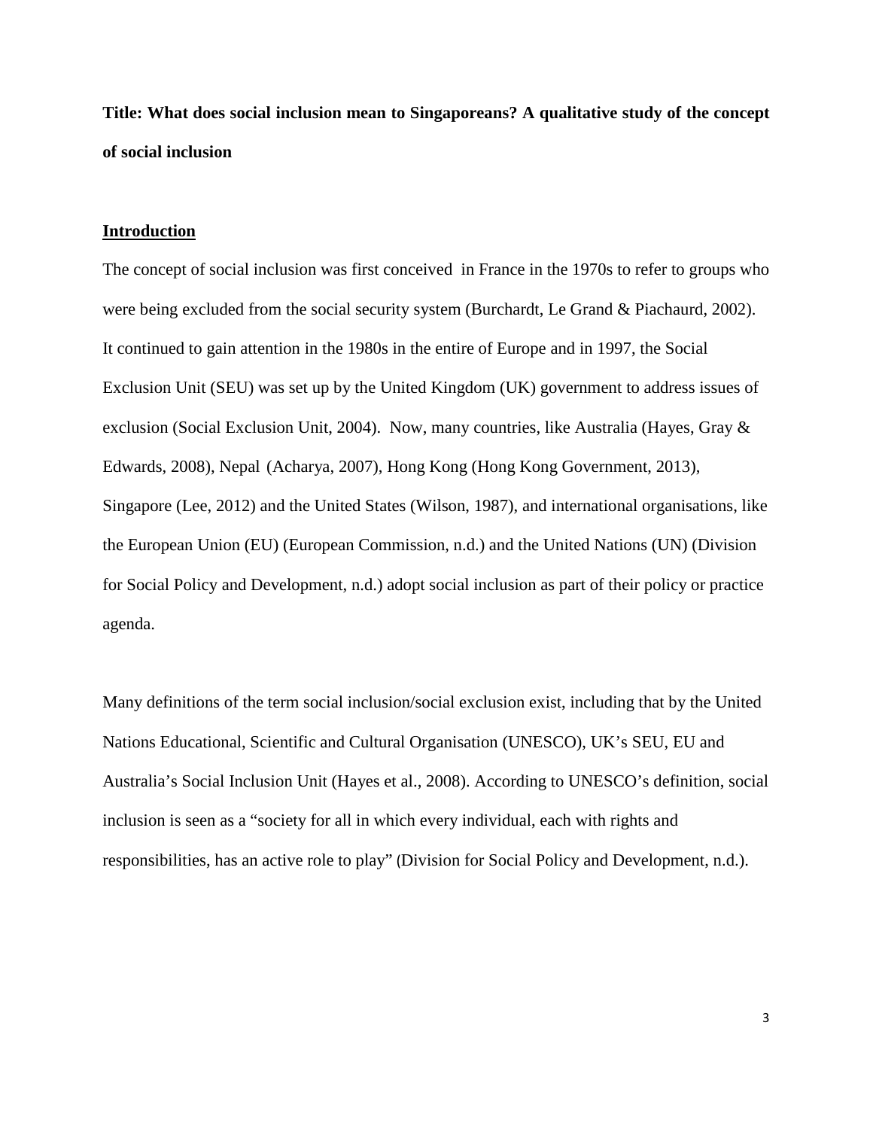**Title: What does social inclusion mean to Singaporeans? A qualitative study of the concept of social inclusion**

#### **Introduction**

The concept of social inclusion was first conceived in France in the 1970s to refer to groups who were being excluded from the social security system (Burchardt, Le Grand & Piachaurd, 2002). It continued to gain attention in the 1980s in the entire of Europe and in 1997, the Social Exclusion Unit (SEU) was set up by the United Kingdom (UK) government to address issues of exclusion (Social Exclusion Unit, 2004). Now, many countries, like Australia (Hayes, Gray & Edwards, 2008), Nepal (Acharya, 2007), Hong Kong (Hong Kong Government, 2013), Singapore (Lee, 2012) and the United States (Wilson, 1987), and international organisations, like the European Union (EU) (European Commission, n.d.) and the United Nations (UN) (Division for Social Policy and Development, n.d.) adopt social inclusion as part of their policy or practice agenda.

Many definitions of the term social inclusion/social exclusion exist, including that by the United Nations Educational, Scientific and Cultural Organisation (UNESCO), UK's SEU, EU and Australia's Social Inclusion Unit (Hayes et al., 2008). According to UNESCO's definition, social inclusion is seen as a "society for all in which every individual, each with rights and responsibilities, has an active role to play" (Division for Social Policy and Development, n.d.).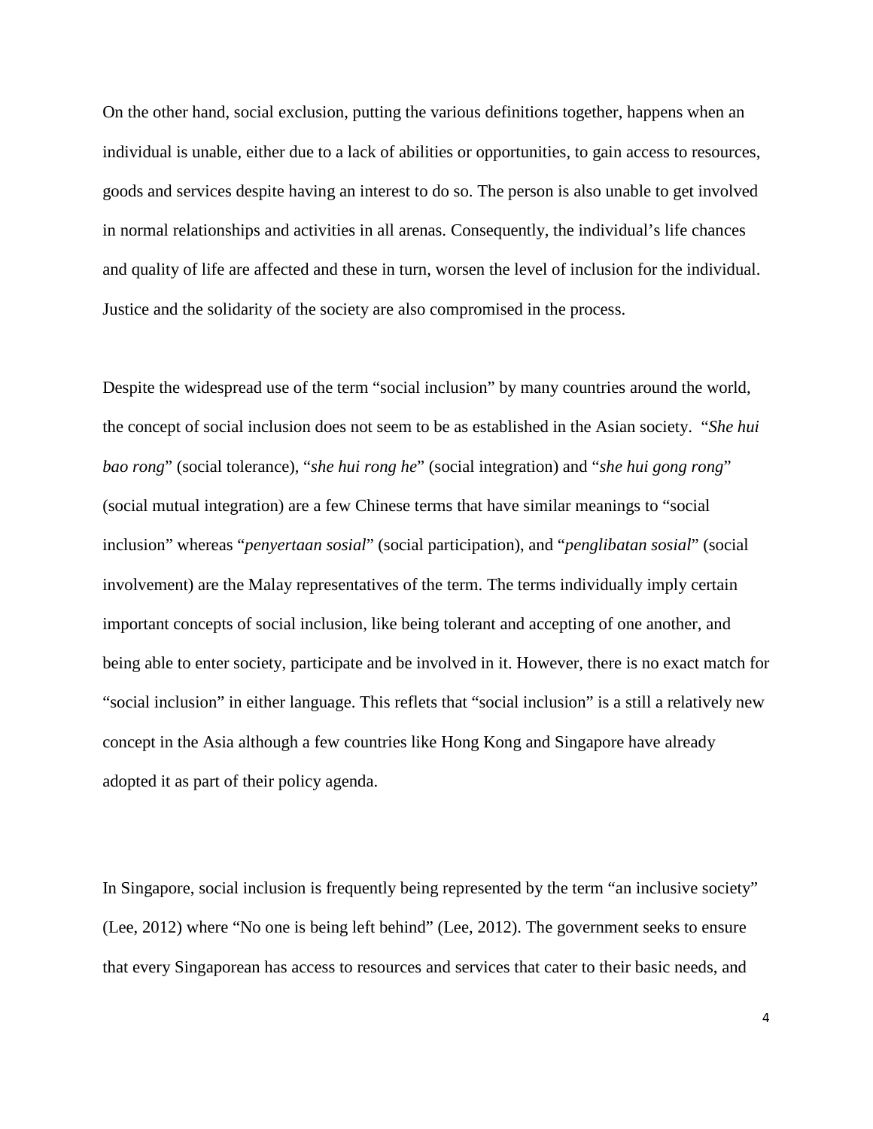On the other hand, social exclusion, putting the various definitions together, happens when an individual is unable, either due to a lack of abilities or opportunities, to gain access to resources, goods and services despite having an interest to do so. The person is also unable to get involved in normal relationships and activities in all arenas. Consequently, the individual's life chances and quality of life are affected and these in turn, worsen the level of inclusion for the individual. Justice and the solidarity of the society are also compromised in the process.

Despite the widespread use of the term "social inclusion" by many countries around the world, the concept of social inclusion does not seem to be as established in the Asian society. "*She hui bao rong*" (social tolerance), "*she hui rong he*" (social integration) and "*she hui gong rong*" (social mutual integration) are a few Chinese terms that have similar meanings to "social inclusion" whereas "*penyertaan sosial*" (social participation), and "*penglibatan sosial*" (social involvement) are the Malay representatives of the term. The terms individually imply certain important concepts of social inclusion, like being tolerant and accepting of one another, and being able to enter society, participate and be involved in it. However, there is no exact match for "social inclusion" in either language. This reflets that "social inclusion" is a still a relatively new concept in the Asia although a few countries like Hong Kong and Singapore have already adopted it as part of their policy agenda.

In Singapore, social inclusion is frequently being represented by the term "an inclusive society" (Lee, 2012) where "No one is being left behind" (Lee, 2012). The government seeks to ensure that every Singaporean has access to resources and services that cater to their basic needs, and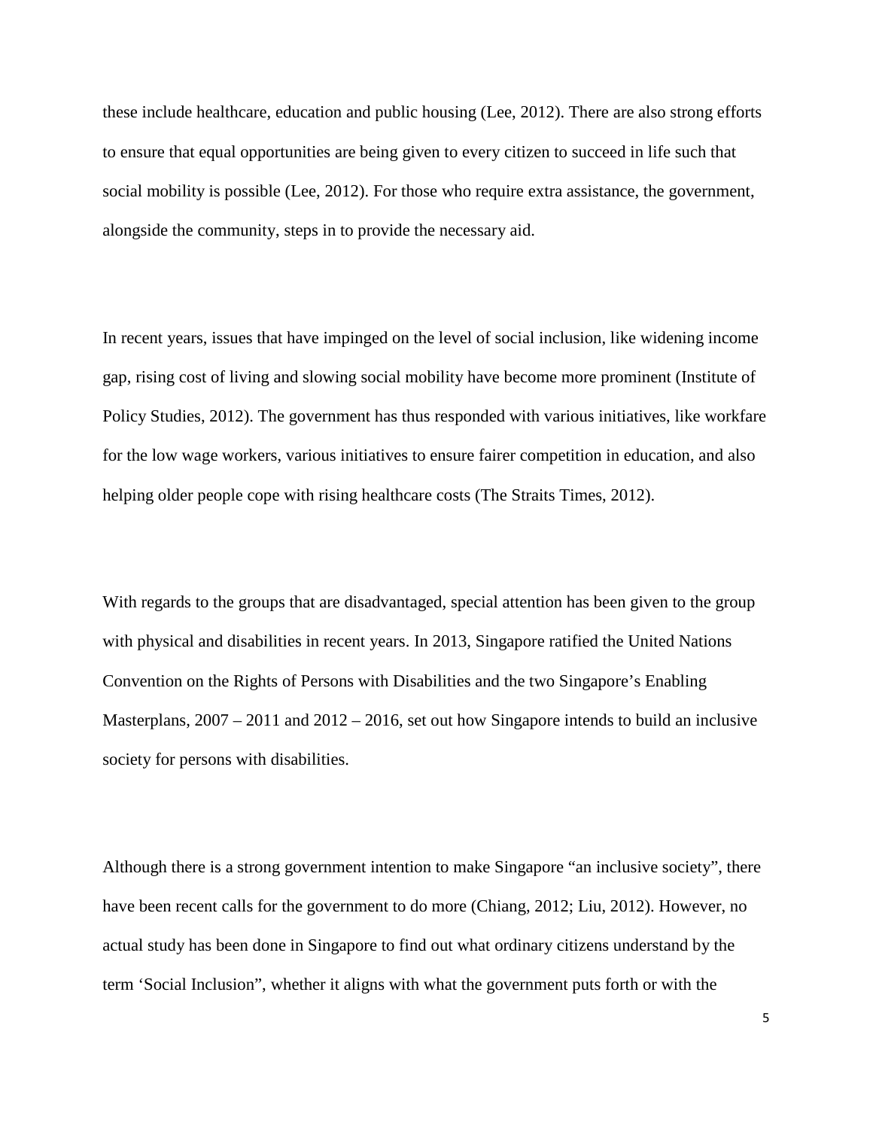these include healthcare, education and public housing (Lee, 2012). There are also strong efforts to ensure that equal opportunities are being given to every citizen to succeed in life such that social mobility is possible (Lee, 2012). For those who require extra assistance, the government, alongside the community, steps in to provide the necessary aid.

In recent years, issues that have impinged on the level of social inclusion, like widening income gap, rising cost of living and slowing social mobility have become more prominent (Institute of Policy Studies, 2012). The government has thus responded with various initiatives, like workfare for the low wage workers, various initiatives to ensure fairer competition in education, and also helping older people cope with rising healthcare costs (The Straits Times, 2012).

With regards to the groups that are disadvantaged, special attention has been given to the group with physical and disabilities in recent years. In 2013, Singapore ratified the United Nations Convention on the Rights of Persons with Disabilities and the two Singapore's Enabling Masterplans,  $2007 - 2011$  and  $2012 - 2016$ , set out how Singapore intends to build an inclusive society for persons with disabilities.

Although there is a strong government intention to make Singapore "an inclusive society", there have been recent calls for the government to do more (Chiang, 2012; Liu, 2012). However, no actual study has been done in Singapore to find out what ordinary citizens understand by the term 'Social Inclusion", whether it aligns with what the government puts forth or with the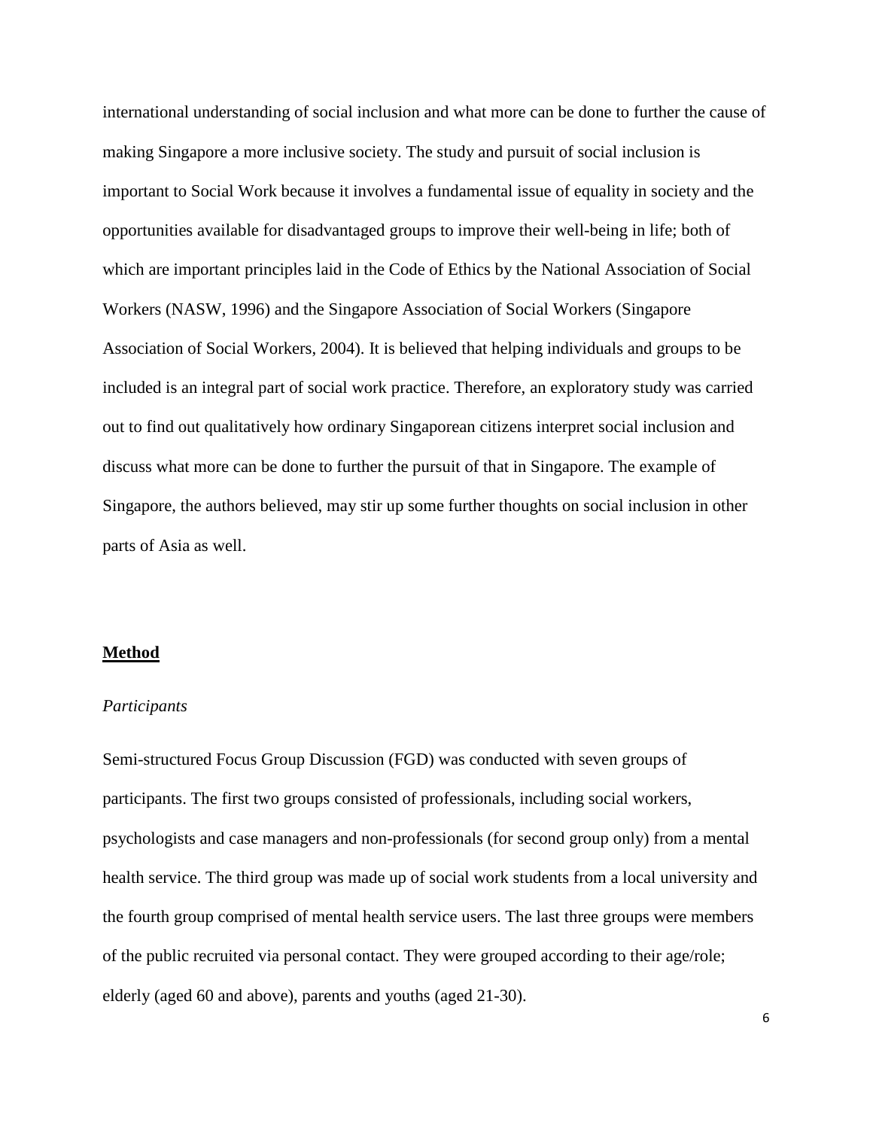international understanding of social inclusion and what more can be done to further the cause of making Singapore a more inclusive society. The study and pursuit of social inclusion is important to Social Work because it involves a fundamental issue of equality in society and the opportunities available for disadvantaged groups to improve their well-being in life; both of which are important principles laid in the Code of Ethics by the National Association of Social Workers (NASW, 1996) and the Singapore Association of Social Workers (Singapore Association of Social Workers, 2004). It is believed that helping individuals and groups to be included is an integral part of social work practice. Therefore, an exploratory study was carried out to find out qualitatively how ordinary Singaporean citizens interpret social inclusion and discuss what more can be done to further the pursuit of that in Singapore. The example of Singapore, the authors believed, may stir up some further thoughts on social inclusion in other parts of Asia as well.

#### **Method**

#### *Participants*

Semi-structured Focus Group Discussion (FGD) was conducted with seven groups of participants. The first two groups consisted of professionals, including social workers, psychologists and case managers and non-professionals (for second group only) from a mental health service. The third group was made up of social work students from a local university and the fourth group comprised of mental health service users. The last three groups were members of the public recruited via personal contact. They were grouped according to their age/role; elderly (aged 60 and above), parents and youths (aged 21-30).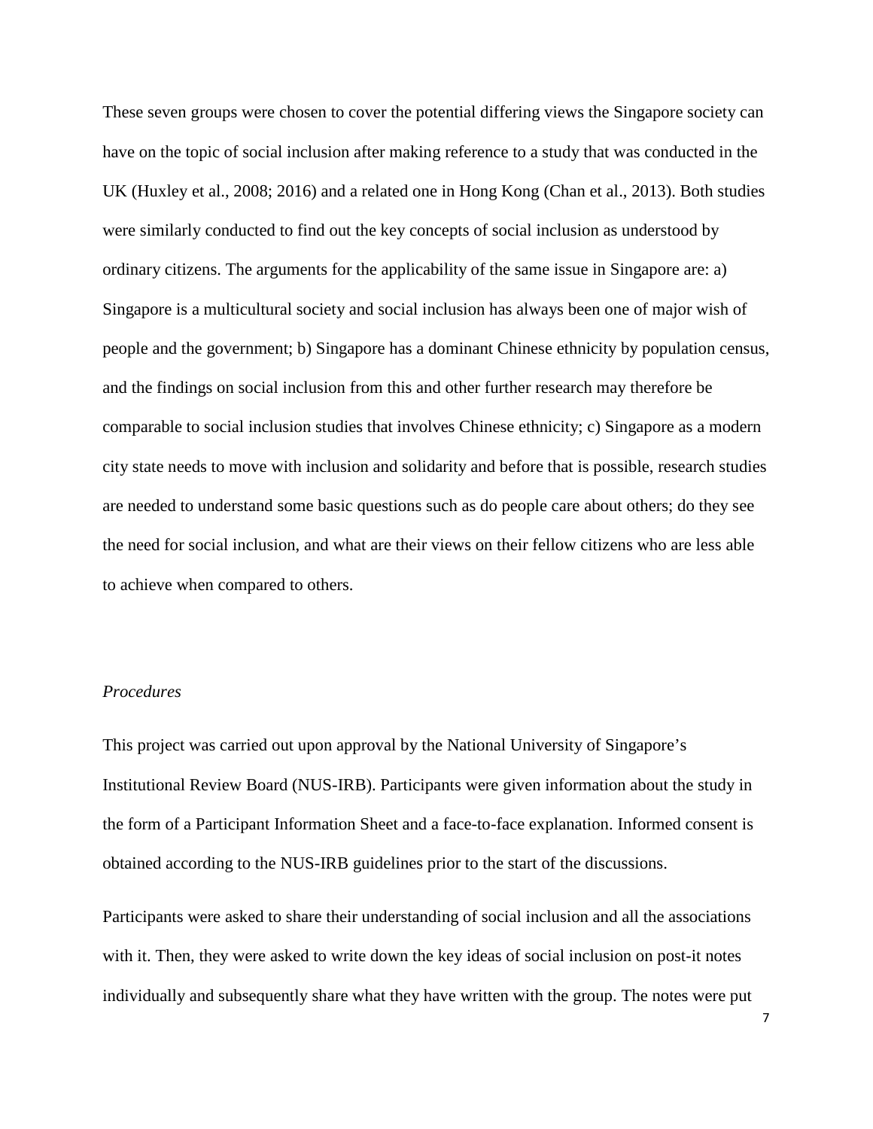These seven groups were chosen to cover the potential differing views the Singapore society can have on the topic of social inclusion after making reference to a study that was conducted in the UK (Huxley et al., 2008; 2016) and a related one in Hong Kong (Chan et al., 2013). Both studies were similarly conducted to find out the key concepts of social inclusion as understood by ordinary citizens. The arguments for the applicability of the same issue in Singapore are: a) Singapore is a multicultural society and social inclusion has always been one of major wish of people and the government; b) Singapore has a dominant Chinese ethnicity by population census, and the findings on social inclusion from this and other further research may therefore be comparable to social inclusion studies that involves Chinese ethnicity; c) Singapore as a modern city state needs to move with inclusion and solidarity and before that is possible, research studies are needed to understand some basic questions such as do people care about others; do they see the need for social inclusion, and what are their views on their fellow citizens who are less able to achieve when compared to others.

# *Procedures*

This project was carried out upon approval by the National University of Singapore's Institutional Review Board (NUS-IRB). Participants were given information about the study in the form of a Participant Information Sheet and a face-to-face explanation. Informed consent is obtained according to the NUS-IRB guidelines prior to the start of the discussions.

Participants were asked to share their understanding of social inclusion and all the associations with it. Then, they were asked to write down the key ideas of social inclusion on post-it notes individually and subsequently share what they have written with the group. The notes were put

7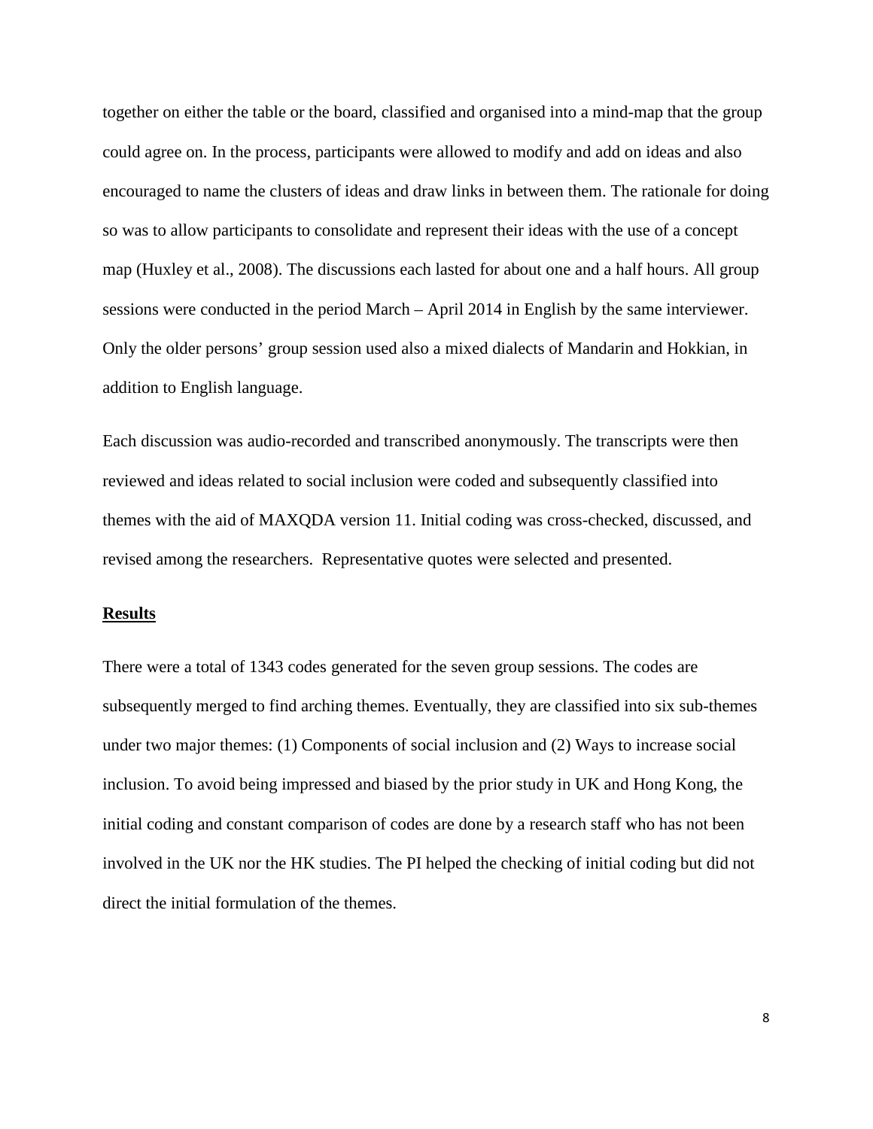together on either the table or the board, classified and organised into a mind-map that the group could agree on. In the process, participants were allowed to modify and add on ideas and also encouraged to name the clusters of ideas and draw links in between them. The rationale for doing so was to allow participants to consolidate and represent their ideas with the use of a concept map (Huxley et al., 2008). The discussions each lasted for about one and a half hours. All group sessions were conducted in the period March – April 2014 in English by the same interviewer. Only the older persons' group session used also a mixed dialects of Mandarin and Hokkian, in addition to English language.

Each discussion was audio-recorded and transcribed anonymously. The transcripts were then reviewed and ideas related to social inclusion were coded and subsequently classified into themes with the aid of MAXQDA version 11. Initial coding was cross-checked, discussed, and revised among the researchers. Representative quotes were selected and presented.

#### **Results**

There were a total of 1343 codes generated for the seven group sessions. The codes are subsequently merged to find arching themes. Eventually, they are classified into six sub-themes under two major themes: (1) Components of social inclusion and (2) Ways to increase social inclusion. To avoid being impressed and biased by the prior study in UK and Hong Kong, the initial coding and constant comparison of codes are done by a research staff who has not been involved in the UK nor the HK studies. The PI helped the checking of initial coding but did not direct the initial formulation of the themes.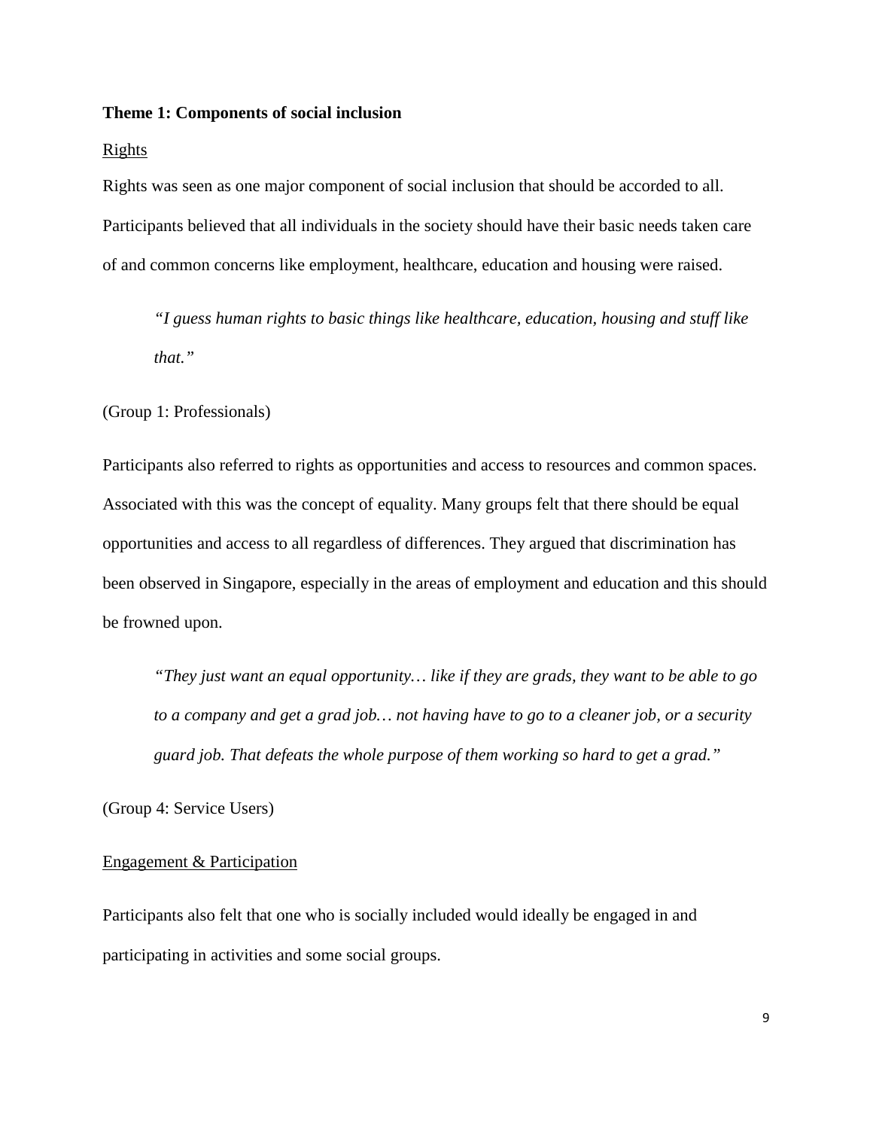#### **Theme 1: Components of social inclusion**

#### Rights

Rights was seen as one major component of social inclusion that should be accorded to all. Participants believed that all individuals in the society should have their basic needs taken care of and common concerns like employment, healthcare, education and housing were raised.

*"I guess human rights to basic things like healthcare, education, housing and stuff like that."*

(Group 1: Professionals)

Participants also referred to rights as opportunities and access to resources and common spaces. Associated with this was the concept of equality. Many groups felt that there should be equal opportunities and access to all regardless of differences. They argued that discrimination has been observed in Singapore, especially in the areas of employment and education and this should be frowned upon.

*"They just want an equal opportunity… like if they are grads, they want to be able to go to a company and get a grad job… not having have to go to a cleaner job, or a security guard job. That defeats the whole purpose of them working so hard to get a grad."*

(Group 4: Service Users)

#### Engagement & Participation

Participants also felt that one who is socially included would ideally be engaged in and participating in activities and some social groups.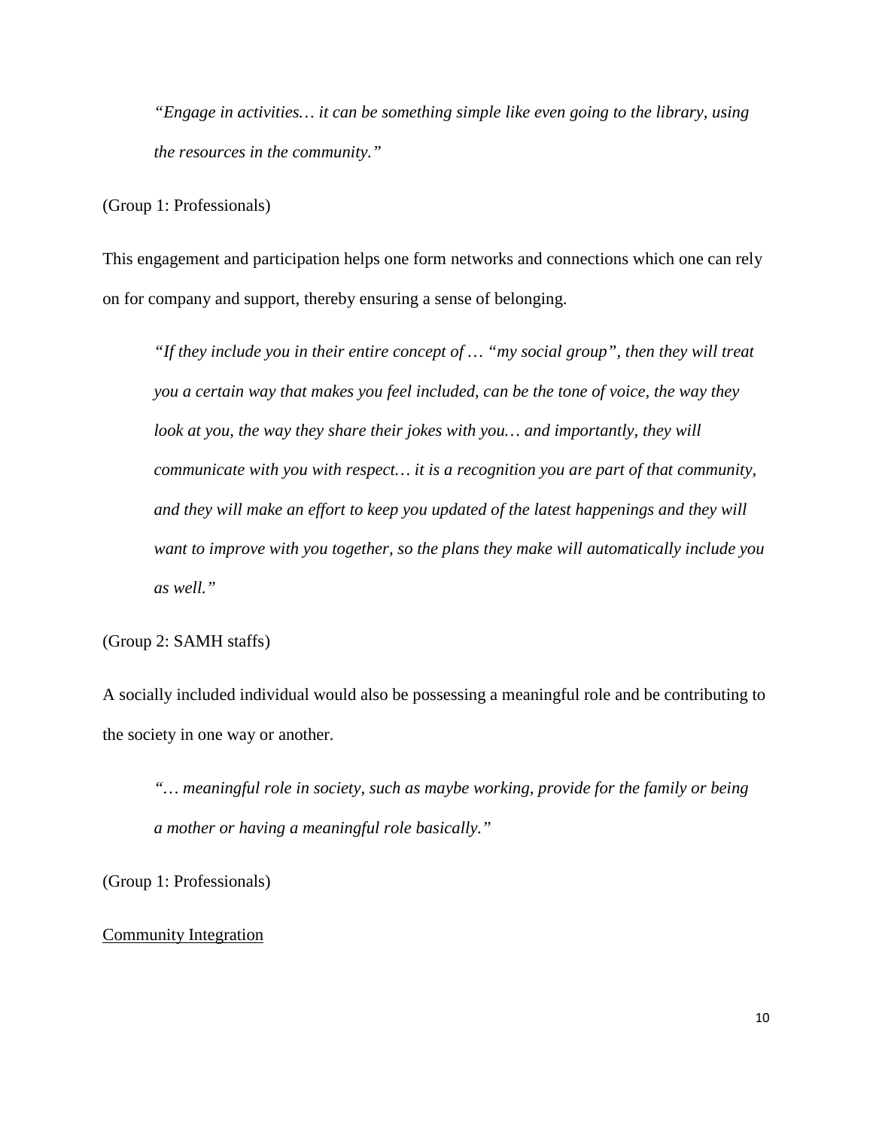*"Engage in activities… it can be something simple like even going to the library, using the resources in the community."*

(Group 1: Professionals)

This engagement and participation helps one form networks and connections which one can rely on for company and support, thereby ensuring a sense of belonging.

*"If they include you in their entire concept of … "my social group", then they will treat you a certain way that makes you feel included, can be the tone of voice, the way they look at you, the way they share their jokes with you... and importantly, they will communicate with you with respect… it is a recognition you are part of that community, and they will make an effort to keep you updated of the latest happenings and they will want to improve with you together, so the plans they make will automatically include you as well."*

(Group 2: SAMH staffs)

A socially included individual would also be possessing a meaningful role and be contributing to the society in one way or another.

*"… meaningful role in society, such as maybe working, provide for the family or being a mother or having a meaningful role basically."*

(Group 1: Professionals)

## Community Integration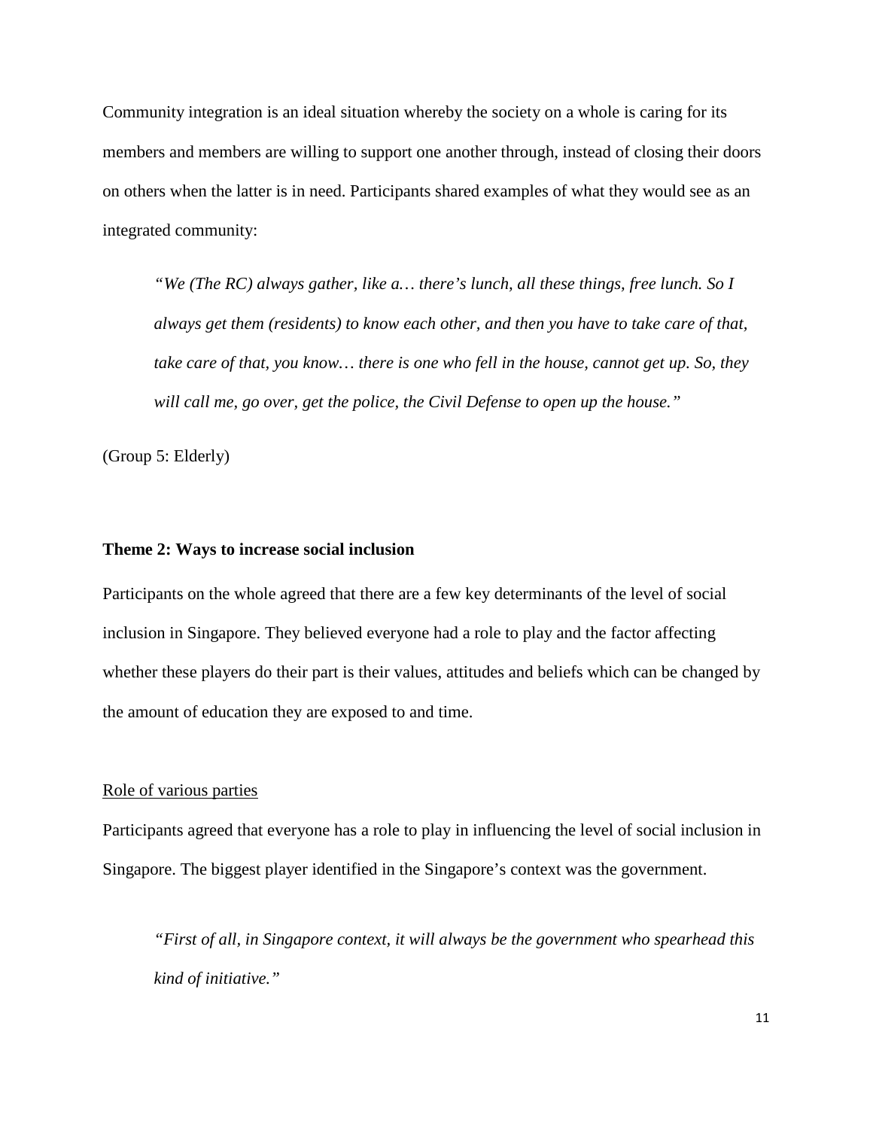Community integration is an ideal situation whereby the society on a whole is caring for its members and members are willing to support one another through, instead of closing their doors on others when the latter is in need. Participants shared examples of what they would see as an integrated community:

*"We (The RC) always gather, like a… there's lunch, all these things, free lunch. So I always get them (residents) to know each other, and then you have to take care of that, take care of that, you know… there is one who fell in the house, cannot get up. So, they will call me, go over, get the police, the Civil Defense to open up the house."*

(Group 5: Elderly)

#### **Theme 2: Ways to increase social inclusion**

Participants on the whole agreed that there are a few key determinants of the level of social inclusion in Singapore. They believed everyone had a role to play and the factor affecting whether these players do their part is their values, attitudes and beliefs which can be changed by the amount of education they are exposed to and time.

#### Role of various parties

Participants agreed that everyone has a role to play in influencing the level of social inclusion in Singapore. The biggest player identified in the Singapore's context was the government.

*"First of all, in Singapore context, it will always be the government who spearhead this kind of initiative."*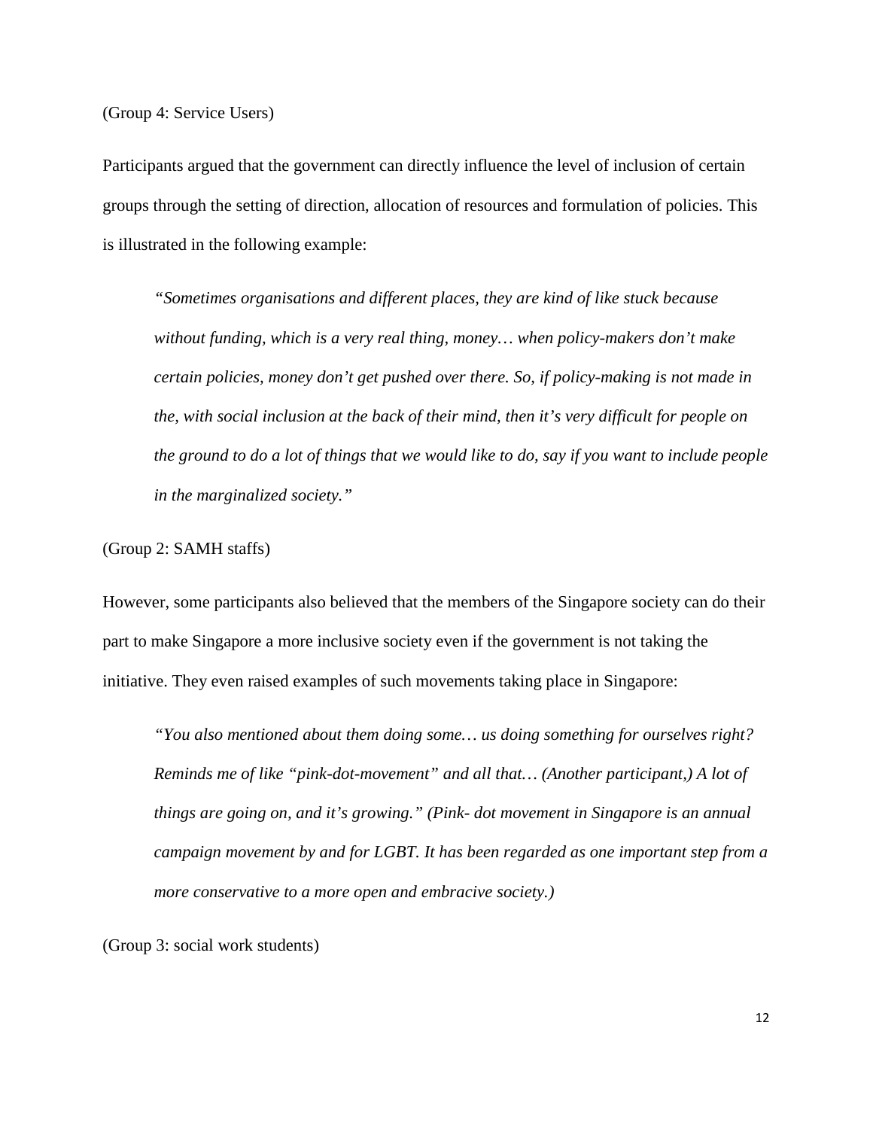(Group 4: Service Users)

Participants argued that the government can directly influence the level of inclusion of certain groups through the setting of direction, allocation of resources and formulation of policies. This is illustrated in the following example:

*"Sometimes organisations and different places, they are kind of like stuck because without funding, which is a very real thing, money… when policy-makers don't make certain policies, money don't get pushed over there. So, if policy-making is not made in the, with social inclusion at the back of their mind, then it's very difficult for people on the ground to do a lot of things that we would like to do, say if you want to include people in the marginalized society."*

(Group 2: SAMH staffs)

However, some participants also believed that the members of the Singapore society can do their part to make Singapore a more inclusive society even if the government is not taking the initiative. They even raised examples of such movements taking place in Singapore:

*"You also mentioned about them doing some… us doing something for ourselves right? Reminds me of like "pink-dot-movement" and all that… (Another participant,) A lot of things are going on, and it's growing." (Pink- dot movement in Singapore is an annual campaign movement by and for LGBT. It has been regarded as one important step from a more conservative to a more open and embracive society.)*

(Group 3: social work students)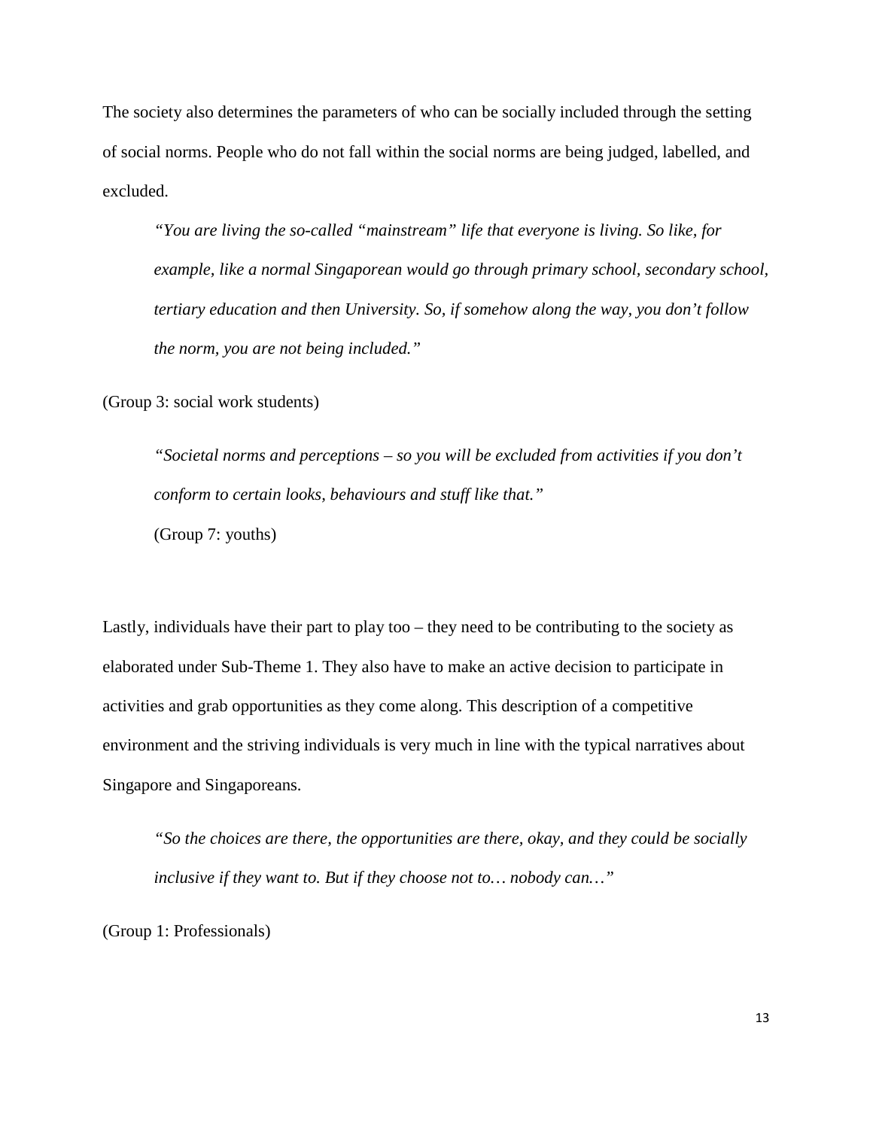The society also determines the parameters of who can be socially included through the setting of social norms. People who do not fall within the social norms are being judged, labelled, and excluded.

*"You are living the so-called "mainstream" life that everyone is living. So like, for example, like a normal Singaporean would go through primary school, secondary school, tertiary education and then University. So, if somehow along the way, you don't follow the norm, you are not being included."*

(Group 3: social work students)

*"Societal norms and perceptions – so you will be excluded from activities if you don't conform to certain looks, behaviours and stuff like that."* (Group 7: youths)

Lastly, individuals have their part to play too – they need to be contributing to the society as elaborated under Sub-Theme 1. They also have to make an active decision to participate in activities and grab opportunities as they come along. This description of a competitive environment and the striving individuals is very much in line with the typical narratives about Singapore and Singaporeans.

*"So the choices are there, the opportunities are there, okay, and they could be socially inclusive if they want to. But if they choose not to… nobody can…"*

(Group 1: Professionals)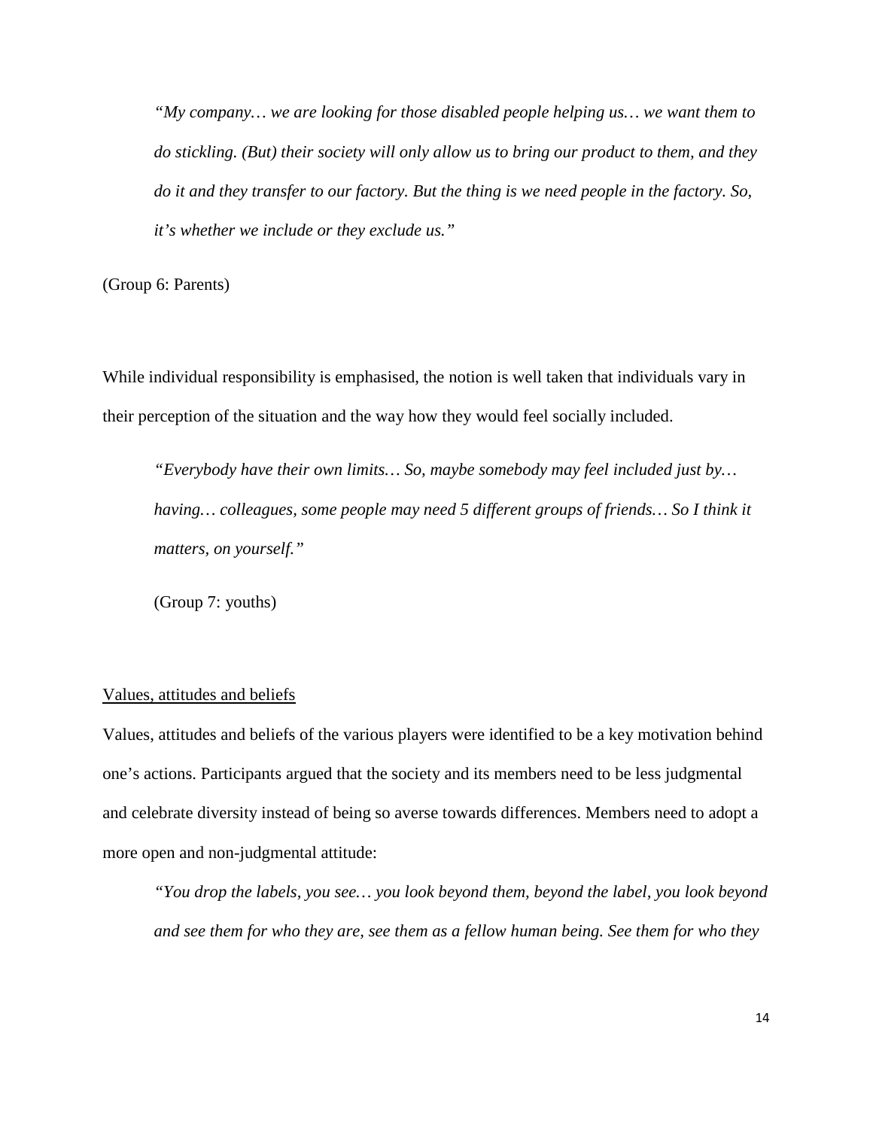*"My company… we are looking for those disabled people helping us… we want them to do stickling. (But) their society will only allow us to bring our product to them, and they do it and they transfer to our factory. But the thing is we need people in the factory. So, it's whether we include or they exclude us."*

(Group 6: Parents)

While individual responsibility is emphasised, the notion is well taken that individuals vary in their perception of the situation and the way how they would feel socially included.

*"Everybody have their own limits… So, maybe somebody may feel included just by…*  having... colleagues, some people may need 5 different groups of friends... So I think it *matters, on yourself."*

(Group 7: youths)

#### Values, attitudes and beliefs

Values, attitudes and beliefs of the various players were identified to be a key motivation behind one's actions. Participants argued that the society and its members need to be less judgmental and celebrate diversity instead of being so averse towards differences. Members need to adopt a more open and non-judgmental attitude:

*"You drop the labels, you see… you look beyond them, beyond the label, you look beyond and see them for who they are, see them as a fellow human being. See them for who they*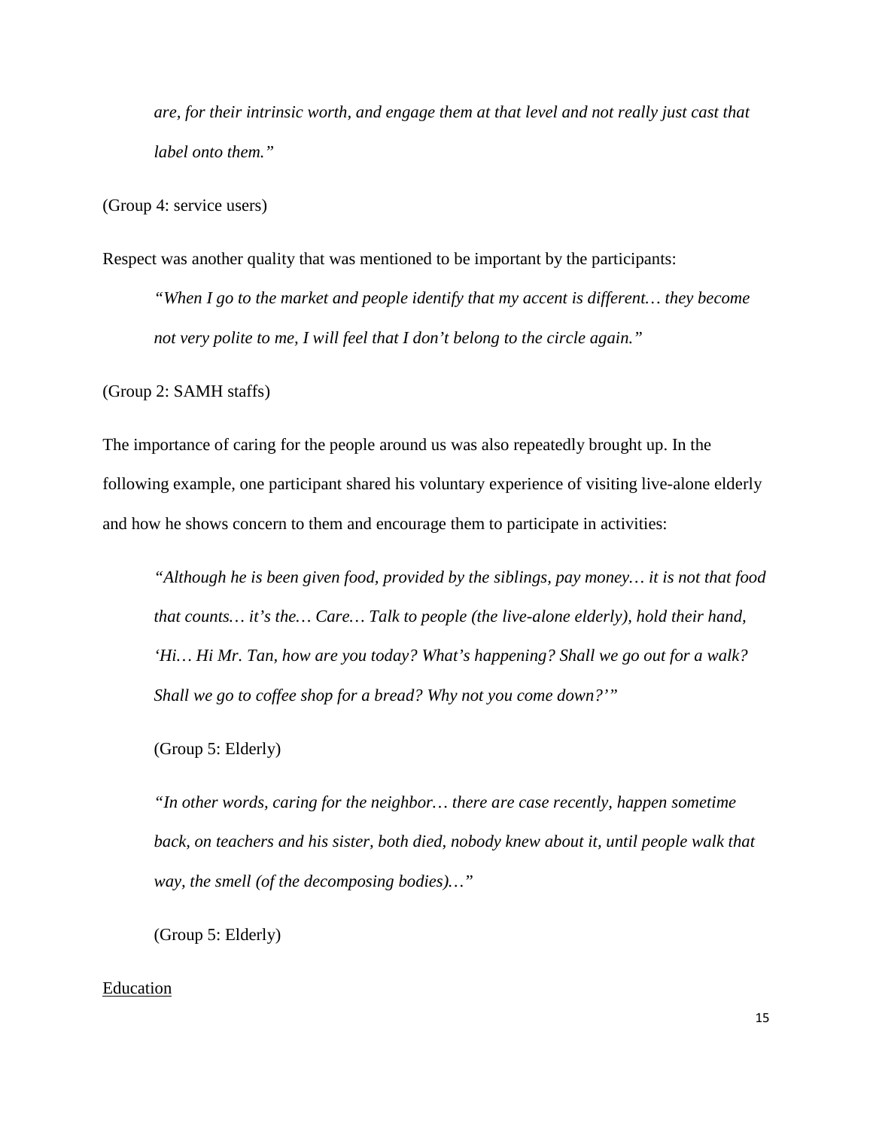*are, for their intrinsic worth, and engage them at that level and not really just cast that label onto them."*

(Group 4: service users)

Respect was another quality that was mentioned to be important by the participants:

*"When I go to the market and people identify that my accent is different… they become not very polite to me, I will feel that I don't belong to the circle again."*

(Group 2: SAMH staffs)

The importance of caring for the people around us was also repeatedly brought up. In the following example, one participant shared his voluntary experience of visiting live-alone elderly and how he shows concern to them and encourage them to participate in activities:

*"Although he is been given food, provided by the siblings, pay money… it is not that food that counts… it's the… Care… Talk to people (the live-alone elderly), hold their hand, 'Hi… Hi Mr. Tan, how are you today? What's happening? Shall we go out for a walk? Shall we go to coffee shop for a bread? Why not you come down?'"*

(Group 5: Elderly)

*"In other words, caring for the neighbor… there are case recently, happen sometime*  back, on teachers and his sister, both died, nobody knew about it, until people walk that *way, the smell (of the decomposing bodies)…"*

(Group 5: Elderly)

#### Education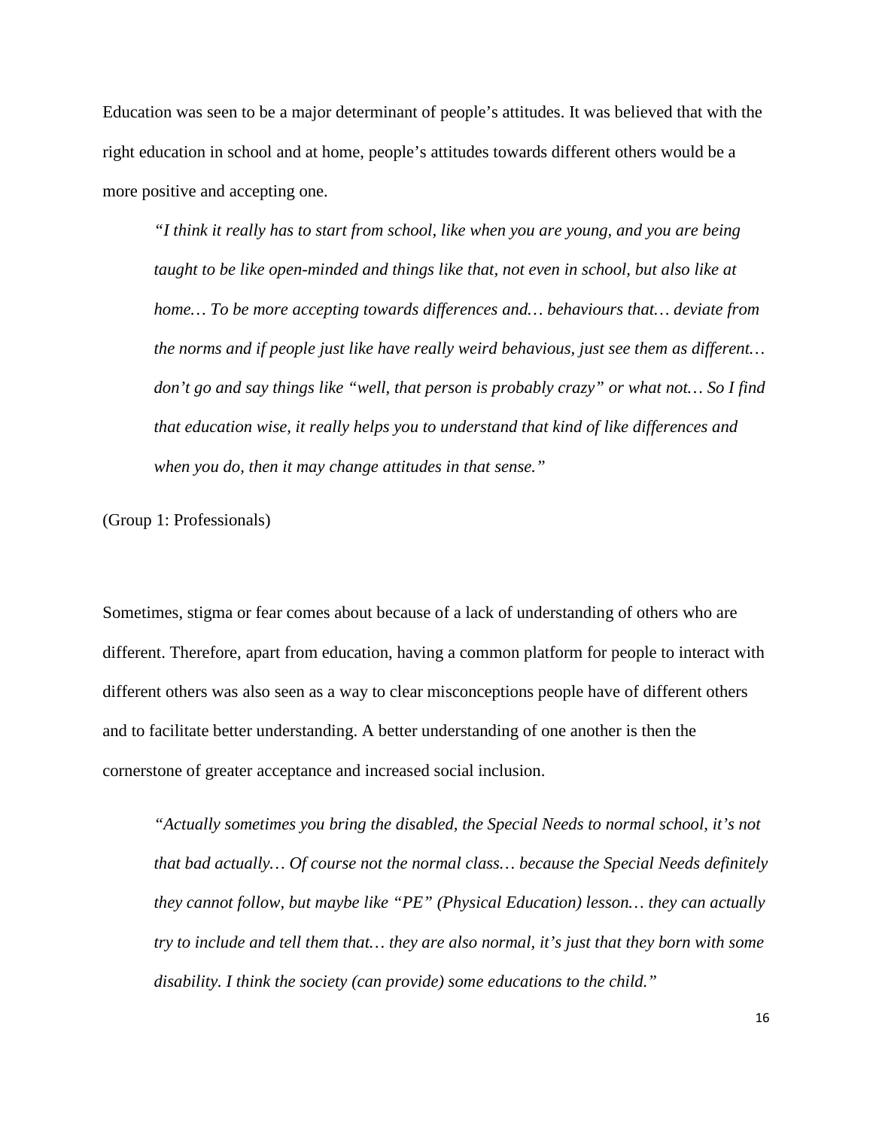Education was seen to be a major determinant of people's attitudes. It was believed that with the right education in school and at home, people's attitudes towards different others would be a more positive and accepting one.

*"I think it really has to start from school, like when you are young, and you are being taught to be like open-minded and things like that, not even in school, but also like at home… To be more accepting towards differences and… behaviours that… deviate from the norms and if people just like have really weird behavious, just see them as different… don't go and say things like "well, that person is probably crazy" or what not… So I find that education wise, it really helps you to understand that kind of like differences and when you do, then it may change attitudes in that sense."*

(Group 1: Professionals)

Sometimes, stigma or fear comes about because of a lack of understanding of others who are different. Therefore, apart from education, having a common platform for people to interact with different others was also seen as a way to clear misconceptions people have of different others and to facilitate better understanding. A better understanding of one another is then the cornerstone of greater acceptance and increased social inclusion.

*"Actually sometimes you bring the disabled, the Special Needs to normal school, it's not that bad actually… Of course not the normal class… because the Special Needs definitely they cannot follow, but maybe like "PE" (Physical Education) lesson… they can actually try to include and tell them that… they are also normal, it's just that they born with some disability. I think the society (can provide) some educations to the child."*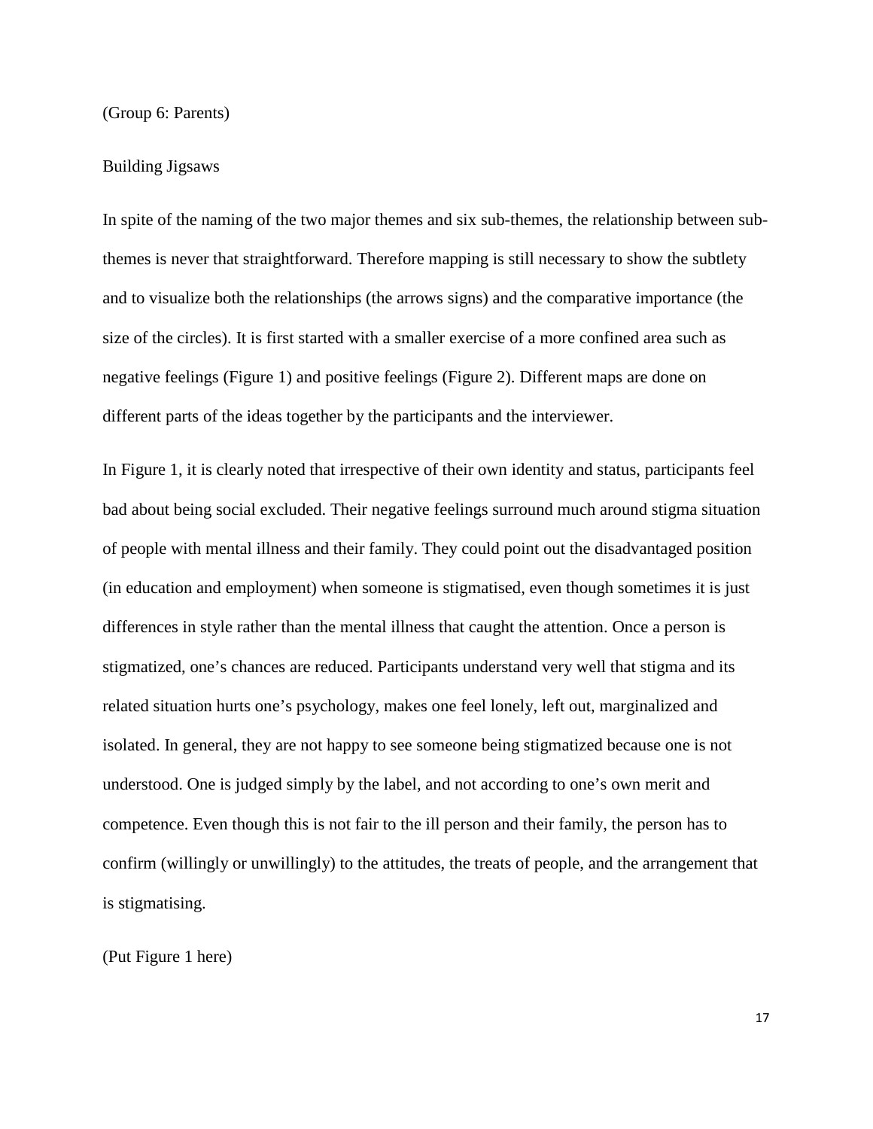(Group 6: Parents)

#### Building Jigsaws

In spite of the naming of the two major themes and six sub-themes, the relationship between subthemes is never that straightforward. Therefore mapping is still necessary to show the subtlety and to visualize both the relationships (the arrows signs) and the comparative importance (the size of the circles). It is first started with a smaller exercise of a more confined area such as negative feelings (Figure 1) and positive feelings (Figure 2). Different maps are done on different parts of the ideas together by the participants and the interviewer.

In Figure 1, it is clearly noted that irrespective of their own identity and status, participants feel bad about being social excluded. Their negative feelings surround much around stigma situation of people with mental illness and their family. They could point out the disadvantaged position (in education and employment) when someone is stigmatised, even though sometimes it is just differences in style rather than the mental illness that caught the attention. Once a person is stigmatized, one's chances are reduced. Participants understand very well that stigma and its related situation hurts one's psychology, makes one feel lonely, left out, marginalized and isolated. In general, they are not happy to see someone being stigmatized because one is not understood. One is judged simply by the label, and not according to one's own merit and competence. Even though this is not fair to the ill person and their family, the person has to confirm (willingly or unwillingly) to the attitudes, the treats of people, and the arrangement that is stigmatising.

(Put Figure 1 here)

17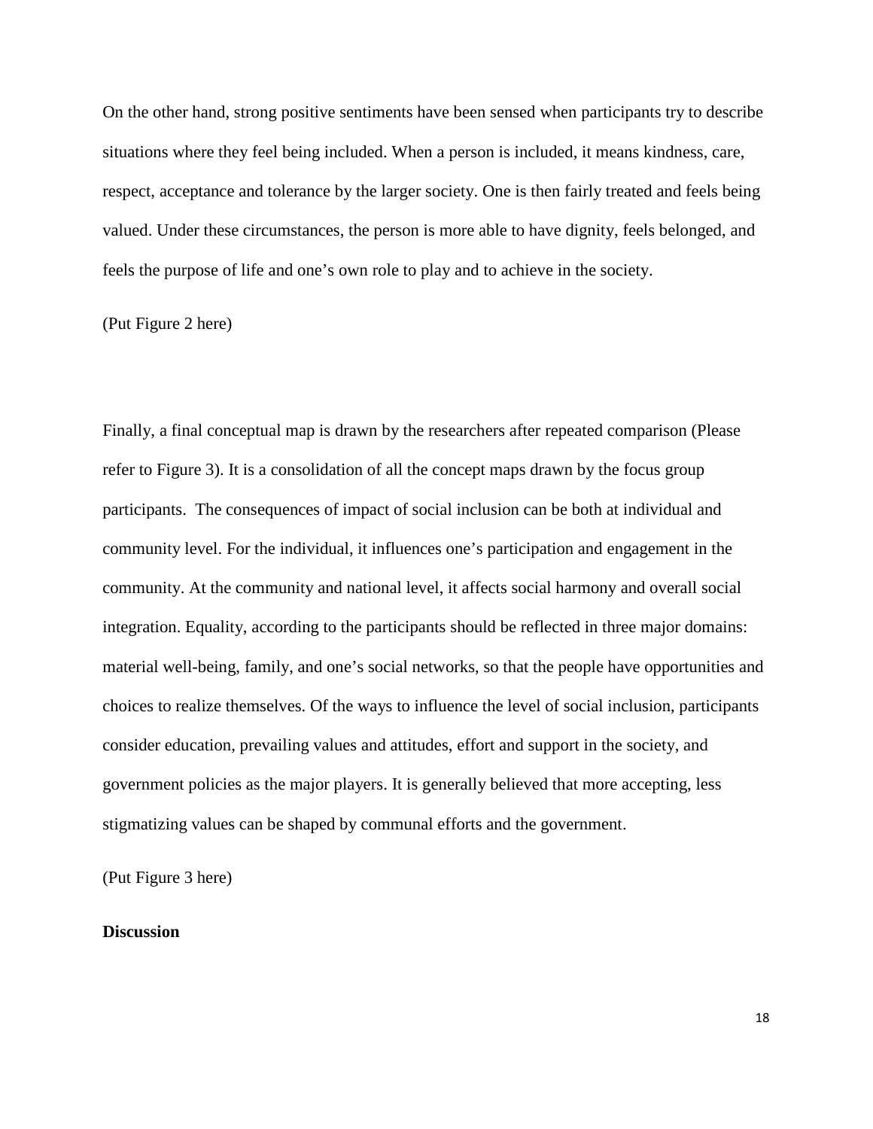On the other hand, strong positive sentiments have been sensed when participants try to describe situations where they feel being included. When a person is included, it means kindness, care, respect, acceptance and tolerance by the larger society. One is then fairly treated and feels being valued. Under these circumstances, the person is more able to have dignity, feels belonged, and feels the purpose of life and one's own role to play and to achieve in the society.

(Put Figure 2 here)

Finally, a final conceptual map is drawn by the researchers after repeated comparison (Please refer to Figure 3). It is a consolidation of all the concept maps drawn by the focus group participants. The consequences of impact of social inclusion can be both at individual and community level. For the individual, it influences one's participation and engagement in the community. At the community and national level, it affects social harmony and overall social integration. Equality, according to the participants should be reflected in three major domains: material well-being, family, and one's social networks, so that the people have opportunities and choices to realize themselves. Of the ways to influence the level of social inclusion, participants consider education, prevailing values and attitudes, effort and support in the society, and government policies as the major players. It is generally believed that more accepting, less stigmatizing values can be shaped by communal efforts and the government.

(Put Figure 3 here)

#### **Discussion**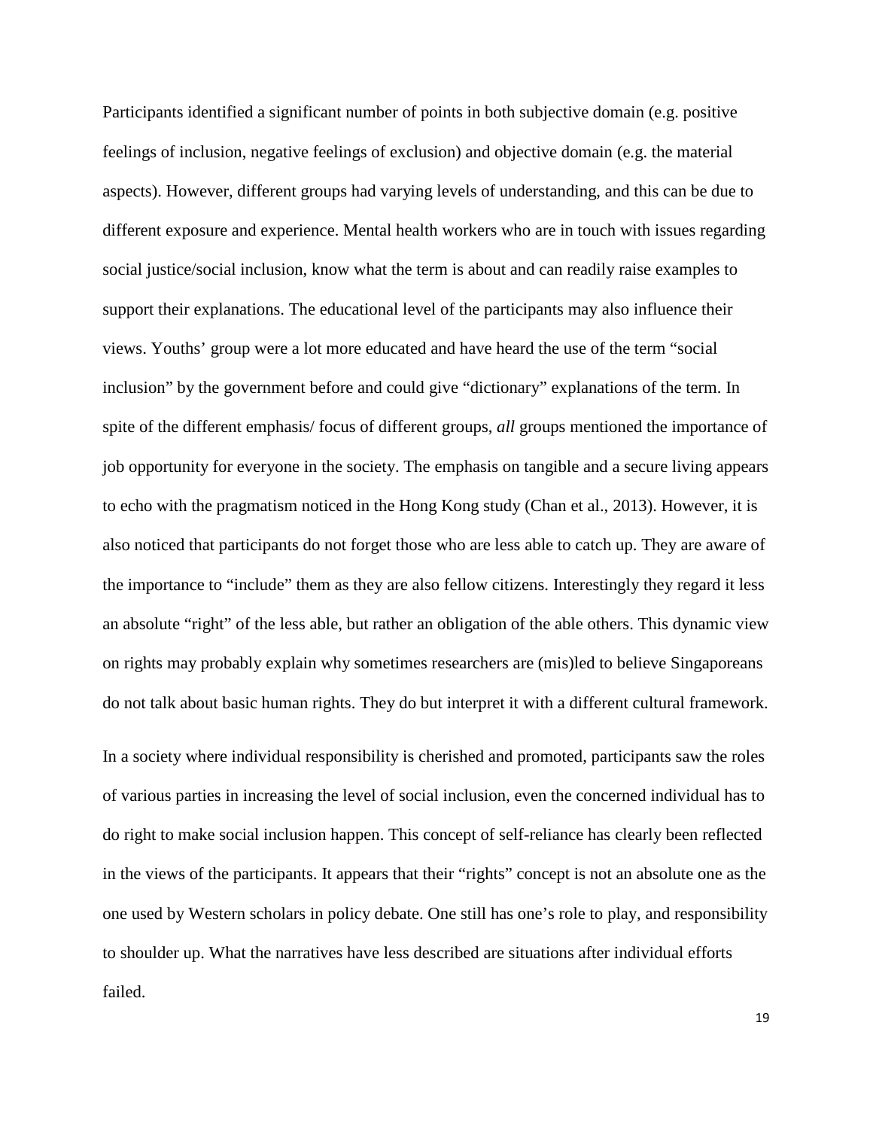Participants identified a significant number of points in both subjective domain (e.g. positive feelings of inclusion, negative feelings of exclusion) and objective domain (e.g. the material aspects). However, different groups had varying levels of understanding, and this can be due to different exposure and experience. Mental health workers who are in touch with issues regarding social justice/social inclusion, know what the term is about and can readily raise examples to support their explanations. The educational level of the participants may also influence their views. Youths' group were a lot more educated and have heard the use of the term "social inclusion" by the government before and could give "dictionary" explanations of the term. In spite of the different emphasis/ focus of different groups, *all* groups mentioned the importance of job opportunity for everyone in the society. The emphasis on tangible and a secure living appears to echo with the pragmatism noticed in the Hong Kong study (Chan et al., 2013). However, it is also noticed that participants do not forget those who are less able to catch up. They are aware of the importance to "include" them as they are also fellow citizens. Interestingly they regard it less an absolute "right" of the less able, but rather an obligation of the able others. This dynamic view on rights may probably explain why sometimes researchers are (mis)led to believe Singaporeans do not talk about basic human rights. They do but interpret it with a different cultural framework.

In a society where individual responsibility is cherished and promoted, participants saw the roles of various parties in increasing the level of social inclusion, even the concerned individual has to do right to make social inclusion happen. This concept of self-reliance has clearly been reflected in the views of the participants. It appears that their "rights" concept is not an absolute one as the one used by Western scholars in policy debate. One still has one's role to play, and responsibility to shoulder up. What the narratives have less described are situations after individual efforts failed.

19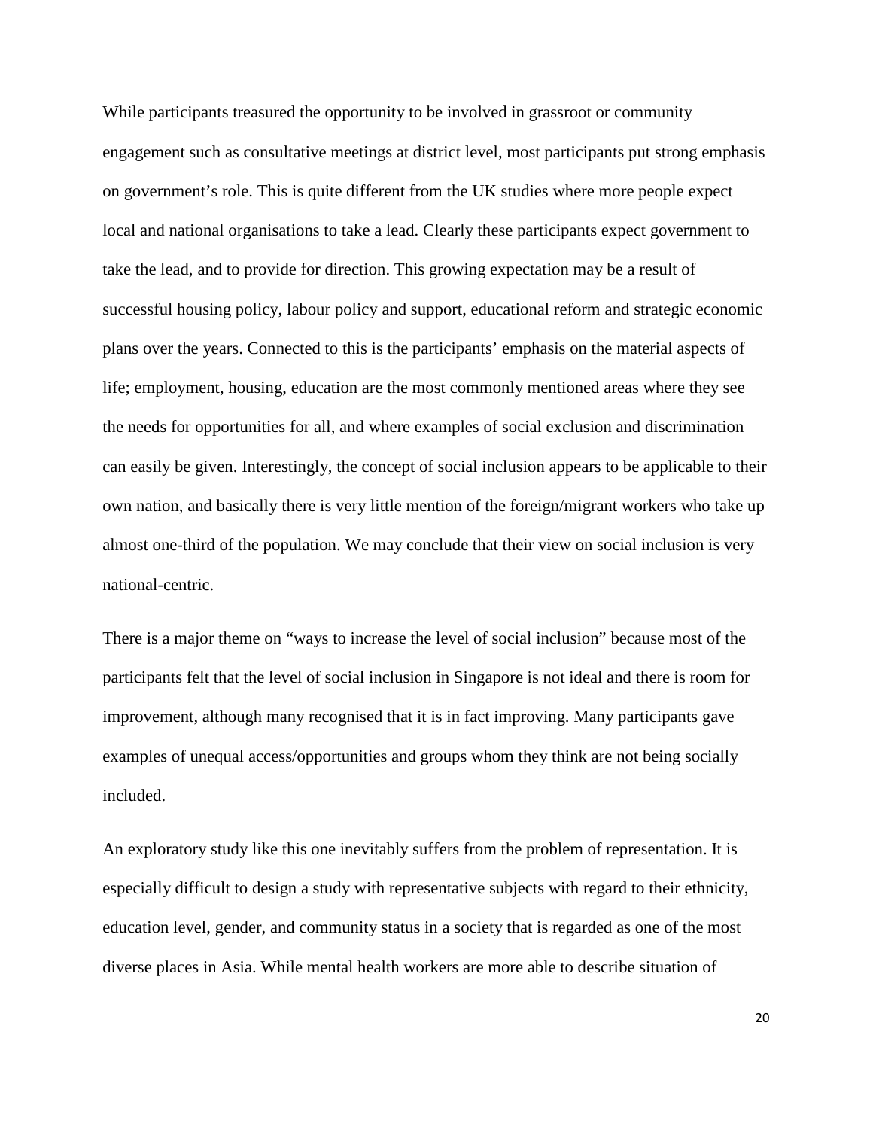While participants treasured the opportunity to be involved in grassroot or community engagement such as consultative meetings at district level, most participants put strong emphasis on government's role. This is quite different from the UK studies where more people expect local and national organisations to take a lead. Clearly these participants expect government to take the lead, and to provide for direction. This growing expectation may be a result of successful housing policy, labour policy and support, educational reform and strategic economic plans over the years. Connected to this is the participants' emphasis on the material aspects of life; employment, housing, education are the most commonly mentioned areas where they see the needs for opportunities for all, and where examples of social exclusion and discrimination can easily be given. Interestingly, the concept of social inclusion appears to be applicable to their own nation, and basically there is very little mention of the foreign/migrant workers who take up almost one-third of the population. We may conclude that their view on social inclusion is very national-centric.

There is a major theme on "ways to increase the level of social inclusion" because most of the participants felt that the level of social inclusion in Singapore is not ideal and there is room for improvement, although many recognised that it is in fact improving. Many participants gave examples of unequal access/opportunities and groups whom they think are not being socially included.

An exploratory study like this one inevitably suffers from the problem of representation. It is especially difficult to design a study with representative subjects with regard to their ethnicity, education level, gender, and community status in a society that is regarded as one of the most diverse places in Asia. While mental health workers are more able to describe situation of

20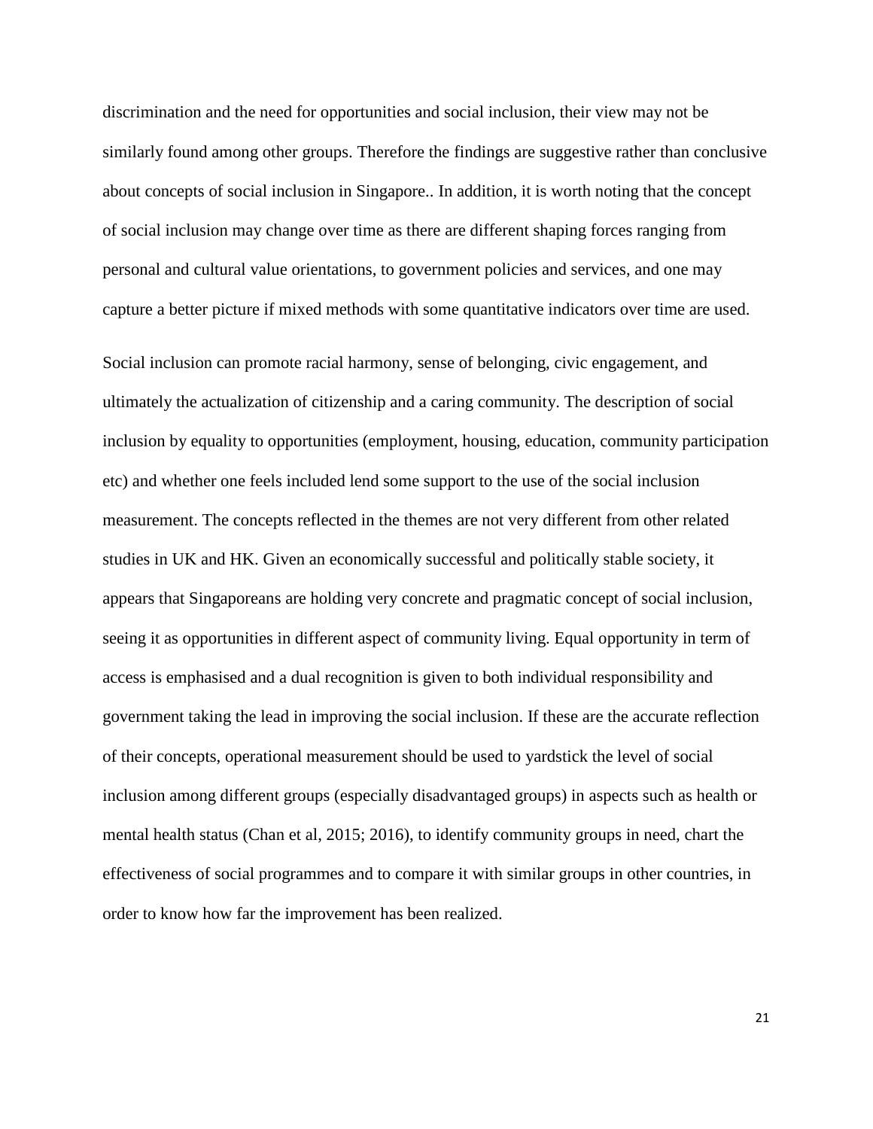discrimination and the need for opportunities and social inclusion, their view may not be similarly found among other groups. Therefore the findings are suggestive rather than conclusive about concepts of social inclusion in Singapore.. In addition, it is worth noting that the concept of social inclusion may change over time as there are different shaping forces ranging from personal and cultural value orientations, to government policies and services, and one may capture a better picture if mixed methods with some quantitative indicators over time are used.

Social inclusion can promote racial harmony, sense of belonging, civic engagement, and ultimately the actualization of citizenship and a caring community. The description of social inclusion by equality to opportunities (employment, housing, education, community participation etc) and whether one feels included lend some support to the use of the social inclusion measurement. The concepts reflected in the themes are not very different from other related studies in UK and HK. Given an economically successful and politically stable society, it appears that Singaporeans are holding very concrete and pragmatic concept of social inclusion, seeing it as opportunities in different aspect of community living. Equal opportunity in term of access is emphasised and a dual recognition is given to both individual responsibility and government taking the lead in improving the social inclusion. If these are the accurate reflection of their concepts, operational measurement should be used to yardstick the level of social inclusion among different groups (especially disadvantaged groups) in aspects such as health or mental health status (Chan et al, 2015; 2016), to identify community groups in need, chart the effectiveness of social programmes and to compare it with similar groups in other countries, in order to know how far the improvement has been realized.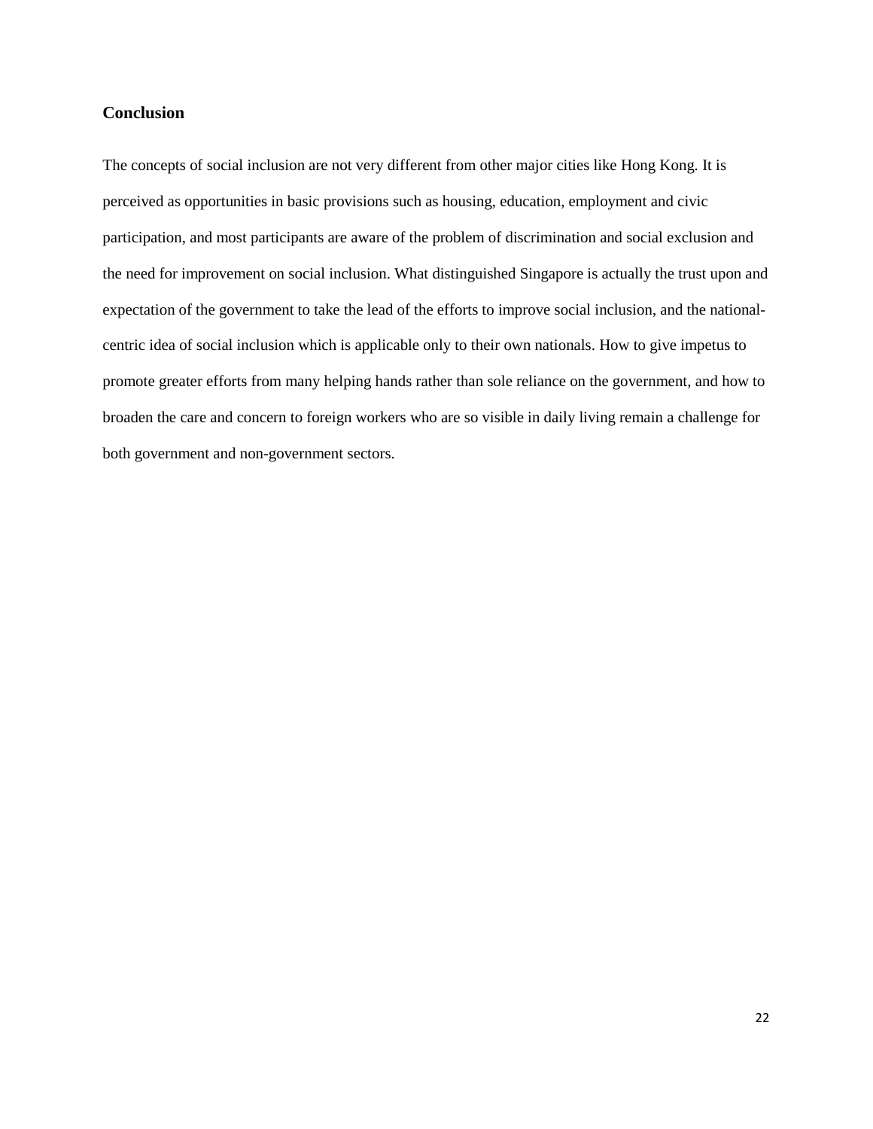## **Conclusion**

The concepts of social inclusion are not very different from other major cities like Hong Kong. It is perceived as opportunities in basic provisions such as housing, education, employment and civic participation, and most participants are aware of the problem of discrimination and social exclusion and the need for improvement on social inclusion. What distinguished Singapore is actually the trust upon and expectation of the government to take the lead of the efforts to improve social inclusion, and the nationalcentric idea of social inclusion which is applicable only to their own nationals. How to give impetus to promote greater efforts from many helping hands rather than sole reliance on the government, and how to broaden the care and concern to foreign workers who are so visible in daily living remain a challenge for both government and non-government sectors.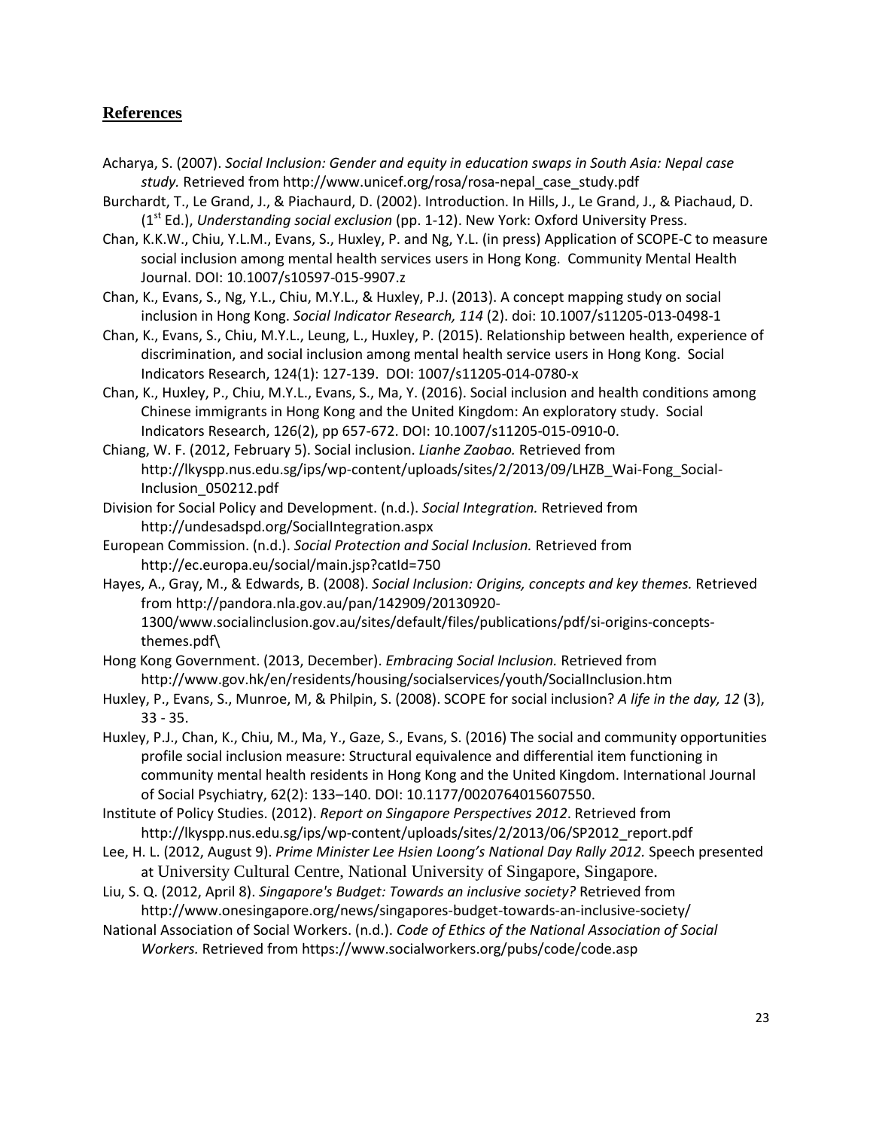# **References**

- Acharya, S. (2007). *Social Inclusion: Gender and equity in education swaps in South Asia: Nepal case study.* Retrieved from http://www.unicef.org/rosa/rosa-nepal\_case\_study.pdf
- Burchardt, T., Le Grand, J., & Piachaurd, D. (2002). Introduction. In Hills, J., Le Grand, J., & Piachaud, D. (1st Ed.), *Understanding social exclusion* (pp. 1-12). New York: Oxford University Press.
- Chan, K.K.W., Chiu, Y.L.M., Evans, S., Huxley, P. and Ng, Y.L. (in press) Application of SCOPE-C to measure social inclusion among mental health services users in Hong Kong. Community Mental Health Journal. DOI: 10.1007/s10597-015-9907.z
- Chan, K., Evans, S., Ng, Y.L., Chiu, M.Y.L., & Huxley, P.J. (2013). A concept mapping study on social inclusion in Hong Kong. *Social Indicator Research, 114* (2). doi: 10.1007/s11205-013-0498-1
- Chan, K., Evans, S., Chiu, M.Y.L., Leung, L., Huxley, P. (2015). Relationship between health, experience of discrimination, and social inclusion among mental health service users in Hong Kong. Social Indicators Research, 124(1): 127-139. DOI: 1007/s11205-014-0780-x
- Chan, K., Huxley, P., Chiu, M.Y.L., Evans, S., Ma, Y. (2016). Social inclusion and health conditions among Chinese immigrants in Hong Kong and the United Kingdom: An exploratory study. Social Indicators Research, 126(2), pp 657-672. DOI: 10.1007/s11205-015-0910-0.
- Chiang, W. F. (2012, February 5). Social inclusion. *Lianhe Zaobao.* Retrieved from http://lkyspp.nus.edu.sg/ips/wp-content/uploads/sites/2/2013/09/LHZB\_Wai-Fong\_Social-Inclusion\_050212.pdf
- Division for Social Policy and Development. (n.d.). *Social Integration.* Retrieved from http://undesadspd.org/SocialIntegration.aspx
- European Commission. (n.d.). *Social Protection and Social Inclusion.* Retrieved from http://ec.europa.eu/social/main.jsp?catId=750
- Hayes, A., Gray, M., & Edwards, B. (2008). *Social Inclusion: Origins, concepts and key themes.* Retrieved from http://pandora.nla.gov.au/pan/142909/20130920- 1300/www.socialinclusion.gov.au/sites/default/files/publications/pdf/si-origins-conceptsthemes.pdf\
- Hong Kong Government. (2013, December). *Embracing Social Inclusion.* Retrieved from http://www.gov.hk/en/residents/housing/socialservices/youth/SocialInclusion.htm
- Huxley, P., Evans, S., Munroe, M, & Philpin, S. (2008). SCOPE for social inclusion? *A life in the day, 12* (3), 33 - 35.
- Huxley, P.J., Chan, K., Chiu, M., Ma, Y., Gaze, S., Evans, S. (2016) The social and community opportunities profile social inclusion measure: Structural equivalence and differential item functioning in community mental health residents in Hong Kong and the United Kingdom. International Journal of Social Psychiatry, 62(2): 133–140. DOI: 10.1177/0020764015607550.
- Institute of Policy Studies. (2012). *Report on Singapore Perspectives 2012*. Retrieved from http://lkyspp.nus.edu.sg/ips/wp-content/uploads/sites/2/2013/06/SP2012\_report.pdf
- Lee, H. L. (2012, August 9). *Prime Minister Lee Hsien Loong's National Day Rally 2012.* Speech presented at University Cultural Centre, National University of Singapore, Singapore.
- Liu, S. Q. (2012, April 8). *Singapore's Budget: Towards an inclusive society?* Retrieved from http://www.onesingapore.org/news/singapores-budget-towards-an-inclusive-society/
- National Association of Social Workers. (n.d.). *Code of Ethics of the National Association of Social Workers.* Retrieved from https://www.socialworkers.org/pubs/code/code.asp